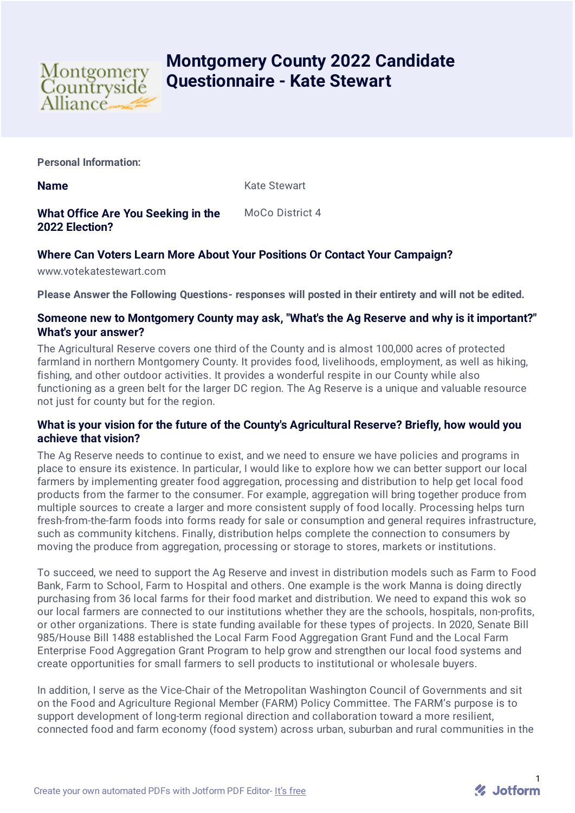

# **Montgomery County 2022 Candidate Questionnaire - Kate Stewart**

**Personal Information:**

**Name** Kate Stewart

**What Office Are You Seeking in the 2022 Election?** MoCo District 4

# **Where Can Voters Learn More About Your Positions Or Contact Your Campaign?**

www.votekatestewart.com

**Please Answer the Following Questions- responses will posted in their entirety and will not be edited.**

# **Someone new to Montgomery County may ask, "What's the Ag Reserve and why is it important?" What's your answer?**

The Agricultural Reserve covers one third of the County and is almost 100,000 acres of protected farmland in northern Montgomery County. It provides food, livelihoods, employment, as well as hiking, fishing, and other outdoor activities. It provides a wonderful respite in our County while also functioning as a green belt for the larger DC region. The Ag Reserve is a unique and valuable resource not just for county but for the region.

#### **What is your vision for the future of the County's Agricultural Reserve? Briefly, how would you achieve that vision?**

The Ag Reserve needs to continue to exist, and we need to ensure we have policies and programs in place to ensure its existence. In particular, I would like to explore how we can better support our local farmers by implementing greater food aggregation, processing and distribution to help get local food products from the farmer to the consumer. For example, aggregation will bring together produce from multiple sources to create a larger and more consistent supply of food locally. Processing helps turn fresh-from-the-farm foods into forms ready for sale or consumption and general requires infrastructure, such as community kitchens. Finally, distribution helps complete the connection to consumers by moving the produce from aggregation, processing or storage to stores, markets or institutions.

To succeed, we need to support the Ag Reserve and invest in distribution models such as Farm to Food Bank, Farm to School, Farm to Hospital and others. One example is the work Manna is doing directly purchasing from 36 local farms for their food market and distribution. We need to expand this wok so our local farmers are connected to our institutions whether they are the schools, hospitals, non-profits, or other organizations. There is state funding available for these types of projects. In 2020, Senate Bill 985/House Bill 1488 established the Local Farm Food Aggregation Grant Fund and the Local Farm Enterprise Food Aggregation Grant Program to help grow and strengthen our local food systems and create opportunities for small farmers to sell products to institutional or wholesale buyers.

In addition, I serve as the Vice-Chair of the Metropolitan Washington Council of Governments and sit on the Food and Agriculture Regional Member (FARM) Policy Committee. The FARM's purpose is to support development of long-term regional direction and collaboration toward a more resilient, connected food and farm economy (food system) across urban, suburban and rural communities in the

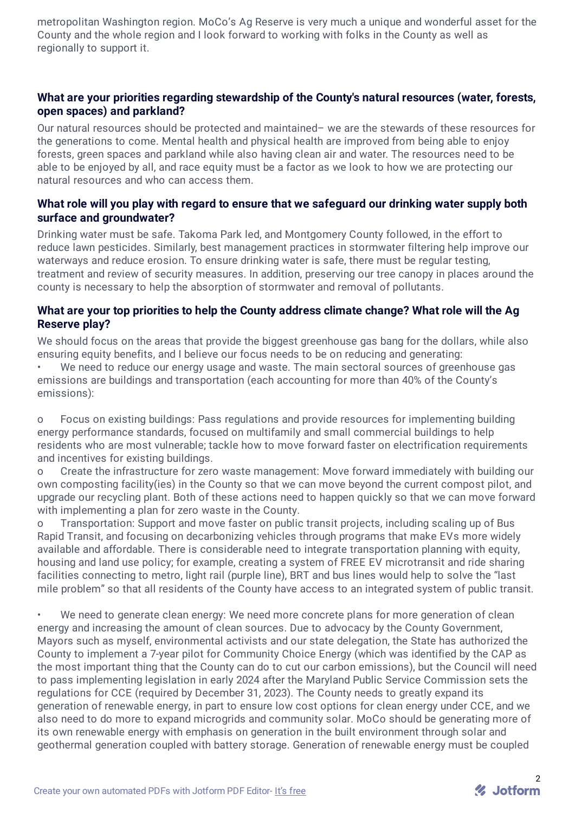metropolitan Washington region. MoCo's Ag Reserve is very much a unique and wonderful asset for the County and the whole region and I look forward to working with folks in the County as well as regionally to support it.

# **What are your priorities regarding stewardship of the County's natural resources (water, forests, open spaces) and parkland?**

Our natural resources should be protected and maintained– we are the stewards of these resources for the generations to come. Mental health and physical health are improved from being able to enjoy forests, green spaces and parkland while also having clean air and water. The resources need to be able to be enjoved by all, and race equity must be a factor as we look to how we are protecting our natural resources and who can access them.

# **What role will you play with regard to ensure that we safeguard our drinking water supply both surface and groundwater?**

Drinking water must be safe. Takoma Park led, and Montgomery County followed, in the effort to reduce lawn pesticides. Similarly, best management practices in stormwater filtering help improve our waterways and reduce erosion. To ensure drinking water is safe, there must be regular testing, treatment and review of security measures. In addition, preserving our tree canopy in places around the county is necessary to help the absorption of stormwater and removal of pollutants.

#### **What are your top priorities to help the County address climate change? What role will the Ag Reserve play?**

We should focus on the areas that provide the biggest greenhouse gas bang for the dollars, while also ensuring equity benefits, and I believe our focus needs to be on reducing and generating:

We need to reduce our energy usage and waste. The main sectoral sources of greenhouse gas emissions are buildings and transportation (each accounting for more than 40% of the County's emissions):

o Focus on existing buildings: Pass regulations and provide resources for implementing building energy performance standards, focused on multifamily and small commercial buildings to help residents who are most vulnerable; tackle how to move forward faster on electrification requirements and incentives for existing buildings.

o Create the infrastructure for zero waste management: Move forward immediately with building our own composting facility(ies) in the County so that we can move beyond the current compost pilot, and upgrade our recycling plant. Both of these actions need to happen quickly so that we can move forward with implementing a plan for zero waste in the County.

o Transportation: Support and move faster on public transit projects, including scaling up of Bus Rapid Transit, and focusing on decarbonizing vehicles through programs that make EVs more widely available and affordable. There is considerable need to integrate transportation planning with equity, housing and land use policy; for example, creating a system of FREE EV microtransit and ride sharing facilities connecting to metro, light rail (purple line), BRT and bus lines would help to solve the "last mile problem" so that all residents of the County have access to an integrated system of public transit.

We need to generate clean energy: We need more concrete plans for more generation of clean energy and increasing the amount of clean sources. Due to advocacy by the County Government, Mayors such as myself, environmental activists and our state delegation, the State has authorized the County to implement a 7-year pilot for Community Choice Energy (which was identified by the CAP as the most important thing that the County can do to cut our carbon emissions), but the Council will need to pass implementing legislation in early 2024 after the Maryland Public Service Commission sets the regulations for CCE (required by December 31, 2023). The County needs to greatly expand its generation of renewable energy, in part to ensure low cost options for clean energy under CCE, and we also need to do more to expand microgrids and community solar. MoCo should be generating more of its own renewable energy with emphasis on generation in the built environment through solar and geothermal generation coupled with battery storage. Generation of renewable energy must be coupled

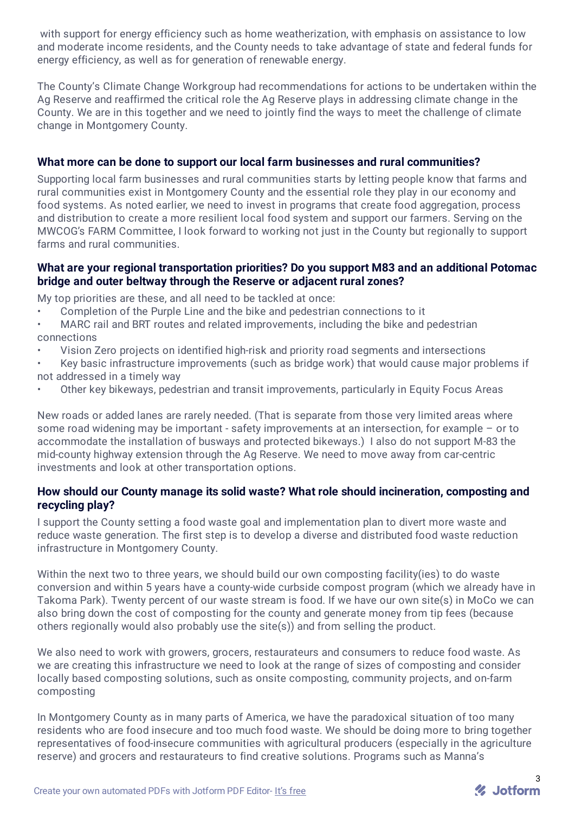with support for energy efficiency such as home weatherization, with emphasis on assistance to low and moderate income residents, and the County needs to take advantage of state and federal funds for energy efficiency, as well as for generation of renewable energy.

The County's Climate Change Workgroup had recommendations for actions to be undertaken within the Ag Reserve and reaffirmed the critical role the Ag Reserve plays in addressing climate change in the County. We are in this together and we need to jointly find the ways to meet the challenge of climate change in Montgomery County.

# **What more can be done to support our local farm businesses and rural communities?**

Supporting local farm businesses and rural communities starts by letting people know that farms and rural communities exist in Montgomery County and the essential role they play in our economy and food systems. As noted earlier, we need to invest in programs that create food aggregation, process and distribution to create a more resilient local food system and support our farmers. Serving on the MWCOG's FARM Committee, I look forward to working not just in the County but regionally to support farms and rural communities.

# **What are your regional transportation priorities? Do you support M83 and an additional Potomac bridge and outer beltway through the Reserve or adjacent rural zones?**

My top priorities are these, and all need to be tackled at once:

- Completion of the Purple Line and the bike and pedestrian connections to it
- MARC rail and BRT routes and related improvements, including the bike and pedestrian connections
- Vision Zero projects on identified high-risk and priority road segments and intersections
- Key basic infrastructure improvements (such as bridge work) that would cause major problems if not addressed in a timely way
- Other key bikeways, pedestrian and transit improvements, particularly in Equity Focus Areas

New roads or added lanes are rarely needed. (That is separate from those very limited areas where some road widening may be important - safety improvements at an intersection, for example – or to accommodate the installation of busways and protected bikeways.) I also do not support M-83 the mid-county highway extension through the Ag Reserve. We need to move away from car-centric investments and look at other transportation options.

#### **How should our County manage its solid waste? What role should incineration, composting and recycling play?**

I support the County setting a food waste goal and implementation plan to divert more waste and reduce waste generation. The first step is to develop a diverse and distributed food waste reduction infrastructure in Montgomery County.

Within the next two to three years, we should build our own composting facility(ies) to do waste conversion and within 5 years have a county-wide curbside compost program (which we already have in Takoma Park). Twenty percent of our waste stream is food. If we have our own site(s) in MoCo we can also bring down the cost of composting for the county and generate money from tip fees (because others regionally would also probably use the site(s)) and from selling the product.

We also need to work with growers, grocers, restaurateurs and consumers to reduce food waste. As we are creating this infrastructure we need to look at the range of sizes of composting and consider locally based composting solutions, such as onsite composting, community projects, and on-farm composting

In Montgomery County as in many parts of America, we have the paradoxical situation of too many residents who are food insecure and too much food waste. We should be doing more to bring together representatives of food-insecure communities with agricultural producers (especially in the agriculture reserve) and grocers and restaurateurs to find creative solutions. Programs such as Manna's

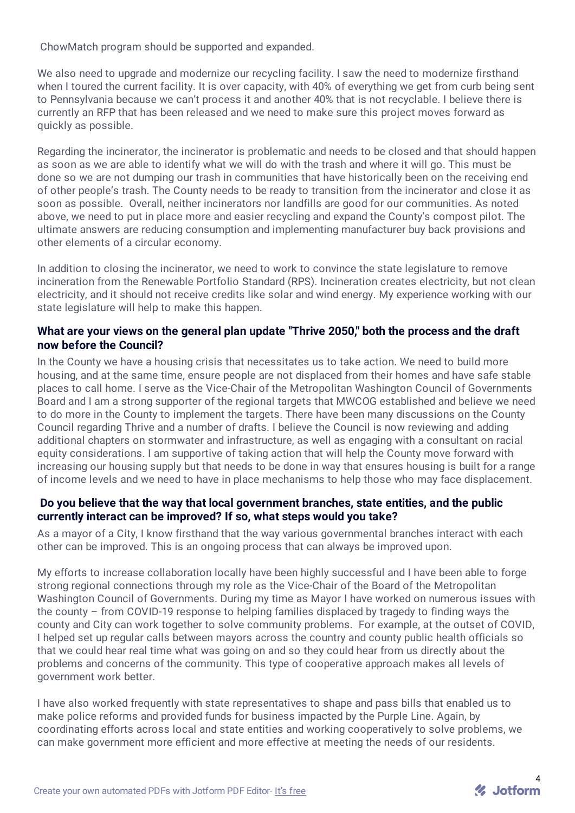ChowMatch program should be supported and expanded.

We also need to upgrade and modernize our recycling facility. I saw the need to modernize firsthand when I toured the current facility. It is over capacity, with 40% of everything we get from curb being sent to Pennsylvania because we can't process it and another 40% that is not recyclable. I believe there is currently an RFP that has been released and we need to make sure this project moves forward as quickly as possible.

Regarding the incinerator, the incinerator is problematic and needs to be closed and that should happen as soon as we are able to identify what we will do with the trash and where it will go. This must be done so we are not dumping our trash in communities that have historically been on the receiving end of other people's trash. The County needs to be ready to transition from the incinerator and close it as soon as possible. Overall, neither incinerators nor landfills are good for our communities. As noted above, we need to put in place more and easier recycling and expand the County's compost pilot. The ultimate answers are reducing consumption and implementing manufacturer buy back provisions and other elements of a circular economy.

In addition to closing the incinerator, we need to work to convince the state legislature to remove incineration from the Renewable Portfolio Standard (RPS). Incineration creates electricity, but not clean electricity, and it should not receive credits like solar and wind energy. My experience working with our state legislature will help to make this happen.

#### **What are your views on the general plan update "Thrive 2050," both the process and the draft now before the Council?**

In the County we have a housing crisis that necessitates us to take action. We need to build more housing, and at the same time, ensure people are not displaced from their homes and have safe stable places to call home. I serve as the Vice-Chair of the Metropolitan Washington Council of Governments Board and I am a strong supporter of the regional targets that MWCOG established and believe we need to do more in the County to implement the targets. There have been many discussions on the County Council regarding Thrive and a number of drafts. I believe the Council is now reviewing and adding additional chapters on stormwater and infrastructure, as well as engaging with a consultant on racial equity considerations. I am supportive of taking action that will help the County move forward with increasing our housing supply but that needs to be done in way that ensures housing is built for a range of income levels and we need to have in place mechanisms to help those who may face displacement.

#### **Do you believe that the way that local government branches, state entities, and the public currently interact can be improved? If so, what steps would you take?**

As a mayor of a City, I know firsthand that the way various governmental branches interact with each other can be improved. This is an ongoing process that can always be improved upon.

My efforts to increase collaboration locally have been highly successful and I have been able to forge strong regional connections through my role as the Vice-Chair of the Board of the Metropolitan Washington Council of Governments. During my time as Mayor I have worked on numerous issues with the county – from COVID-19 response to helping families displaced by tragedy to finding ways the county and City can work together to solve community problems. For example, at the outset of COVID, I helped set up regular calls between mayors across the country and county public health officials so that we could hear real time what was going on and so they could hear from us directly about the problems and concerns of the community. This type of cooperative approach makes all levels of government work better.

I have also worked frequently with state representatives to shape and pass bills that enabled us to make police reforms and provided funds for business impacted by the Purple Line. Again, by coordinating efforts across local and state entities and working cooperatively to solve problems, we can make government more efficient and more effective at meeting the needs of our residents.